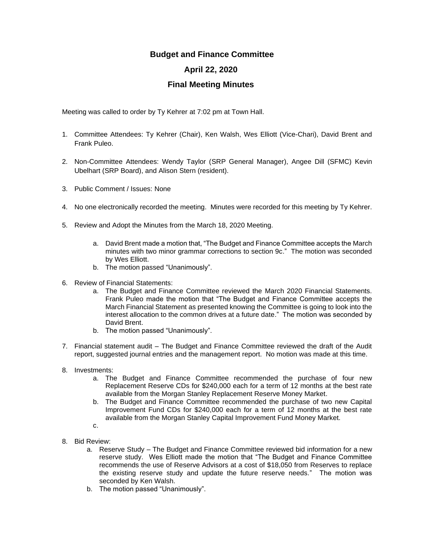## **Budget and Finance Committee**

## **April 22, 2020**

## **Final Meeting Minutes**

Meeting was called to order by Ty Kehrer at 7:02 pm at Town Hall.

- 1. Committee Attendees: Ty Kehrer (Chair), Ken Walsh, Wes Elliott (Vice-Chari), David Brent and Frank Puleo.
- 2. Non-Committee Attendees: Wendy Taylor (SRP General Manager), Angee Dill (SFMC) Kevin Ubelhart (SRP Board), and Alison Stern (resident).
- 3. Public Comment / Issues: None
- 4. No one electronically recorded the meeting. Minutes were recorded for this meeting by Ty Kehrer.
- 5. Review and Adopt the Minutes from the March 18, 2020 Meeting.
	- a. David Brent made a motion that, "The Budget and Finance Committee accepts the March minutes with two minor grammar corrections to section 9c." The motion was seconded by Wes Elliott.
	- b. The motion passed "Unanimously".
- 6. Review of Financial Statements:
	- a. The Budget and Finance Committee reviewed the March 2020 Financial Statements. Frank Puleo made the motion that "The Budget and Finance Committee accepts the March Financial Statement as presented knowing the Committee is going to look into the interest allocation to the common drives at a future date." The motion was seconded by David Brent.
	- b. The motion passed "Unanimously".
- 7. Financial statement audit The Budget and Finance Committee reviewed the draft of the Audit report, suggested journal entries and the management report. No motion was made at this time.
- 8. Investments:
	- a. The Budget and Finance Committee recommended the purchase of four new Replacement Reserve CDs for \$240,000 each for a term of 12 months at the best rate available from the Morgan Stanley Replacement Reserve Money Market.
	- b. The Budget and Finance Committee recommended the purchase of two new Capital Improvement Fund CDs for \$240,000 each for a term of 12 months at the best rate available from the Morgan Stanley Capital Improvement Fund Money Market.
	- c.
- 8. Bid Review:
	- a. Reserve Study The Budget and Finance Committee reviewed bid information for a new reserve study. Wes Elliott made the motion that "The Budget and Finance Committee recommends the use of Reserve Advisors at a cost of \$18,050 from Reserves to replace the existing reserve study and update the future reserve needs." The motion was seconded by Ken Walsh.
	- b. The motion passed "Unanimously".